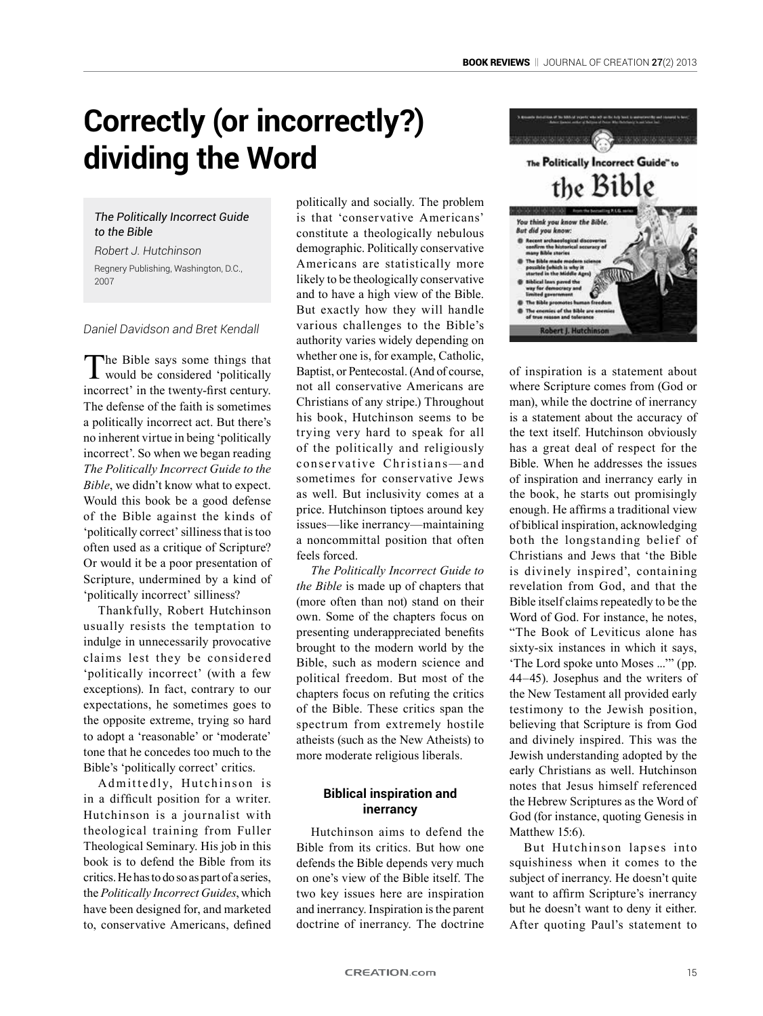# **Correctly (or incorrectly?) dividing the Word**

## *The Politically Incorrect Guide to the Bible*

*Robert J. Hutchinson* Regnery Publishing, Washington, D.C., 2007

## *Daniel Davidson and Bret Kendall*

The Bible says some things that would be considered 'politically incorrect' in the twenty-first century. The defense of the faith is sometimes a politically incorrect act. But there's no inherent virtue in being 'politically incorrect'. So when we began reading *The Politically Incorrect Guide to the Bible*, we didn't know what to expect. Would this book be a good defense of the Bible against the kinds of 'politically correct' silliness that is too often used as a critique of Scripture? Or would it be a poor presentation of Scripture, undermined by a kind of 'politically incorrect' silliness?

Thankfully, Robert Hutchinson usually resists the temptation to indulge in unnecessarily provocative claims lest they be considered 'politically incorrect' (with a few exceptions). In fact, contrary to our expectations, he sometimes goes to the opposite extreme, trying so hard to adopt a 'reasonable' or 'moderate' tone that he concedes too much to the Bible's 'politically correct' critics.

Admittedly, Hutchinson is in a difficult position for a writer. Hutchinson is a journalist with theological training from Fuller Theological Seminary. His job in this book is to defend the Bible from its critics. He has to do so as part of a series, the *Politically Incorrect Guides*, which have been designed for, and marketed to, conservative Americans, defined politically and socially. The problem is that 'conservative Americans' constitute a theologically nebulous demographic. Politically conservative Americans are statistically more likely to be theologically conservative and to have a high view of the Bible. But exactly how they will handle various challenges to the Bible's authority varies widely depending on whether one is, for example, Catholic, Baptist, or Pentecostal. (And of course, not all conservative Americans are Christians of any stripe.) Throughout his book, Hutchinson seems to be trying very hard to speak for all of the politically and religiously conservative Christians-and sometimes for conservative Jews as well. But inclusivity comes at a price. Hutchinson tiptoes around key issues—like inerrancy—maintaining a noncommittal position that often feels forced.

*The Politically Incorrect Guide to the Bible* is made up of chapters that (more often than not) stand on their own. Some of the chapters focus on presenting underappreciated benefits brought to the modern world by the Bible, such as modern science and political freedom. But most of the chapters focus on refuting the critics of the Bible. These critics span the spectrum from extremely hostile atheists (such as the New Atheists) to more moderate religious liberals.

## **Biblical inspiration and inerrancy**

Hutchinson aims to defend the Bible from its critics. But how one defends the Bible depends very much on one's view of the Bible itself. The two key issues here are inspiration and inerrancy. Inspiration is the parent doctrine of inerrancy. The doctrine



of inspiration is a statement about where Scripture comes from (God or man), while the doctrine of inerrancy is a statement about the accuracy of the text itself. Hutchinson obviously has a great deal of respect for the Bible. When he addresses the issues of inspiration and inerrancy early in the book, he starts out promisingly enough. He affirms a traditional view of biblical inspiration, acknowledging both the longstanding belief of Christians and Jews that 'the Bible is divinely inspired', containing revelation from God, and that the Bible itself claims repeatedly to be the Word of God. For instance, he notes. "The Book of Leviticus alone has sixty-six instances in which it says, 'The Lord spoke unto Moses ...'" (pp. 44–45). Josephus and the writers of the New Testament all provided early testimony to the Jewish position, believing that Scripture is from God and divinely inspired. This was the Jewish understanding adopted by the early Christians as well. Hutchinson notes that Jesus himself referenced the Hebrew Scriptures as the Word of God (for instance, quoting Genesis in Matthew 15:6).

But Hutchinson lapses into squishiness when it comes to the subject of inerrancy. He doesn't quite want to affirm Scripture's inerrancy but he doesn't want to deny it either. After quoting Paul's statement to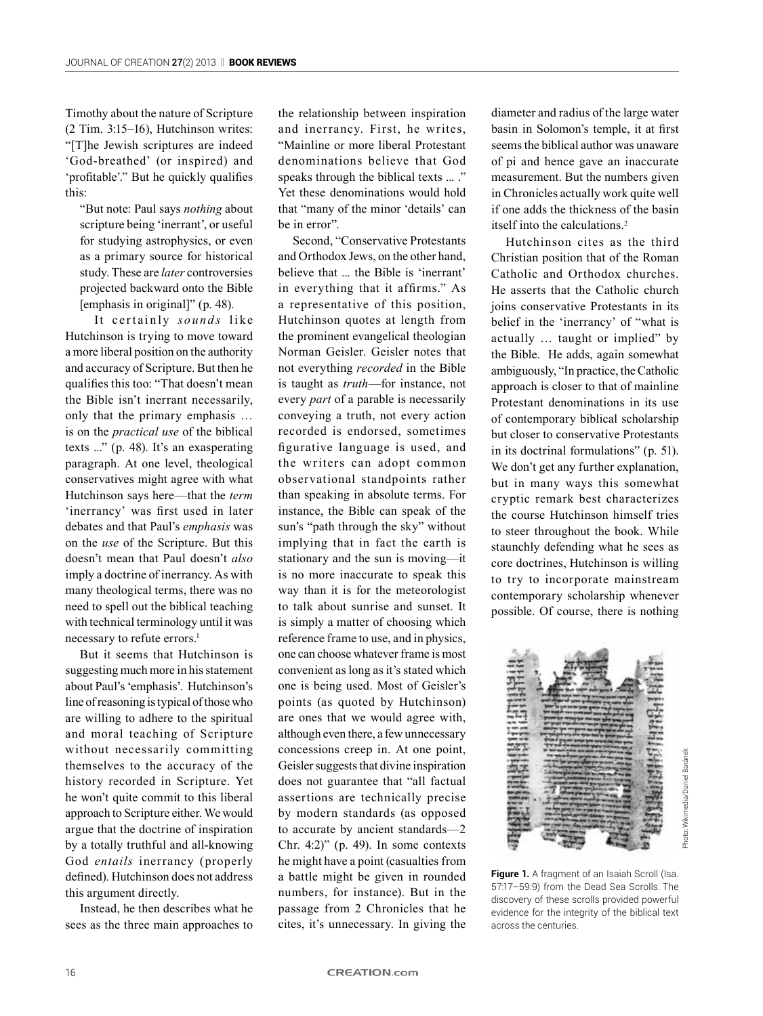Timothy about the nature of Scripture (2 Tim. 3:15–16), Hutchinson writes: "[T]he Jewish scriptures are indeed 'God-breathed' (or inspired) and 'profitable'." But he quickly qualifies this:

"But note: Paul says *nothing* about scripture being 'inerrant', or useful for studying astrophysics, or even as a primary source for historical study. These are *later* controversies projected backward onto the Bible [emphasis in original]" (p. 48).

It certainly *sounds* like Hutchinson is trying to move toward a more liberal position on the authority and accuracy of Scripture. But then he qualifies this too: "That doesn't mean the Bible isn't inerrant necessarily, only that the primary emphasis … is on the *practical use* of the biblical texts ..." (p. 48). It's an exasperating paragraph. At one level, theological conservatives might agree with what Hutchinson says here—that the *term* 'inerrancy' was first used in later debates and that Paul's *emphasis* was on the *use* of the Scripture. But this doesn't mean that Paul doesn't *also* imply a doctrine of inerrancy. As with many theological terms, there was no need to spell out the biblical teaching with technical terminology until it was necessary to refute errors.<sup>1</sup>

But it seems that Hutchinson is suggesting much more in his statement about Paul's 'emphasis'. Hutchinson's line of reasoning is typical of those who are willing to adhere to the spiritual and moral teaching of Scripture without necessarily committing themselves to the accuracy of the history recorded in Scripture. Yet he won't quite commit to this liberal approach to Scripture either. We would argue that the doctrine of inspiration by a totally truthful and all-knowing God *entails* inerrancy (properly defined). Hutchinson does not address this argument directly.

Instead, he then describes what he sees as the three main approaches to

the relationship between inspiration and inerrancy. First, he writes, "Mainline or more liberal Protestant denominations believe that God speaks through the biblical texts ... ." Yet these denominations would hold that "many of the minor 'details' can be in error".

Second, "Conservative Protestants and Orthodox Jews, on the other hand, believe that ... the Bible is 'inerrant' in everything that it affirms." As a representative of this position, Hutchinson quotes at length from the prominent evangelical theologian Norman Geisler. Geisler notes that not everything *recorded* in the Bible is taught as *truth*—for instance, not every *part* of a parable is necessarily conveying a truth, not every action recorded is endorsed, sometimes figurative language is used, and the writers can adopt common observational standpoints rather than speaking in absolute terms. For instance, the Bible can speak of the sun's "path through the sky" without implying that in fact the earth is stationary and the sun is moving—it is no more inaccurate to speak this way than it is for the meteorologist to talk about sunrise and sunset. It is simply a matter of choosing which reference frame to use, and in physics, one can choose whatever frame is most convenient as long as it's stated which one is being used. Most of Geisler's points (as quoted by Hutchinson) are ones that we would agree with, although even there, a few unnecessary concessions creep in. At one point, Geisler suggests that divine inspiration does not guarantee that "all factual assertions are technically precise by modern standards (as opposed to accurate by ancient standards—2 Chr.  $4:2$ <sup>"</sup> (p. 49). In some contexts he might have a point (casualties from a battle might be given in rounded numbers, for instance). But in the passage from 2 Chronicles that he cites, it's unnecessary. In giving the

diameter and radius of the large water basin in Solomon's temple, it at first seems the biblical author was unaware of pi and hence gave an inaccurate measurement. But the numbers given in Chronicles actually work quite well if one adds the thickness of the basin itself into the calculations.<sup>2</sup>

Hutchinson cites as the third Christian position that of the Roman Catholic and Orthodox churches. He asserts that the Catholic church joins conservative Protestants in its belief in the 'inerrancy' of "what is actually … taught or implied" by the Bible. He adds, again somewhat ambiguously, "In practice, the Catholic approach is closer to that of mainline Protestant denominations in its use of contemporary biblical scholarship but closer to conservative Protestants in its doctrinal formulations" (p. 51). We don't get any further explanation, but in many ways this somewhat cryptic remark best characterizes the course Hutchinson himself tries to steer throughout the book. While staunchly defending what he sees as core doctrines, Hutchinson is willing to try to incorporate mainstream contemporary scholarship whenever possible. Of course, there is nothing



Photo: Wikimedia/Daniel Baránekhoto: Wikimedia/Daniel Baránek

**Figure 1.** A fragment of an Isaiah Scroll (Isa. 57:17–59:9) from the Dead Sea Scrolls. The discovery of these scrolls provided powerful evidence for the integrity of the biblical text across the centuries.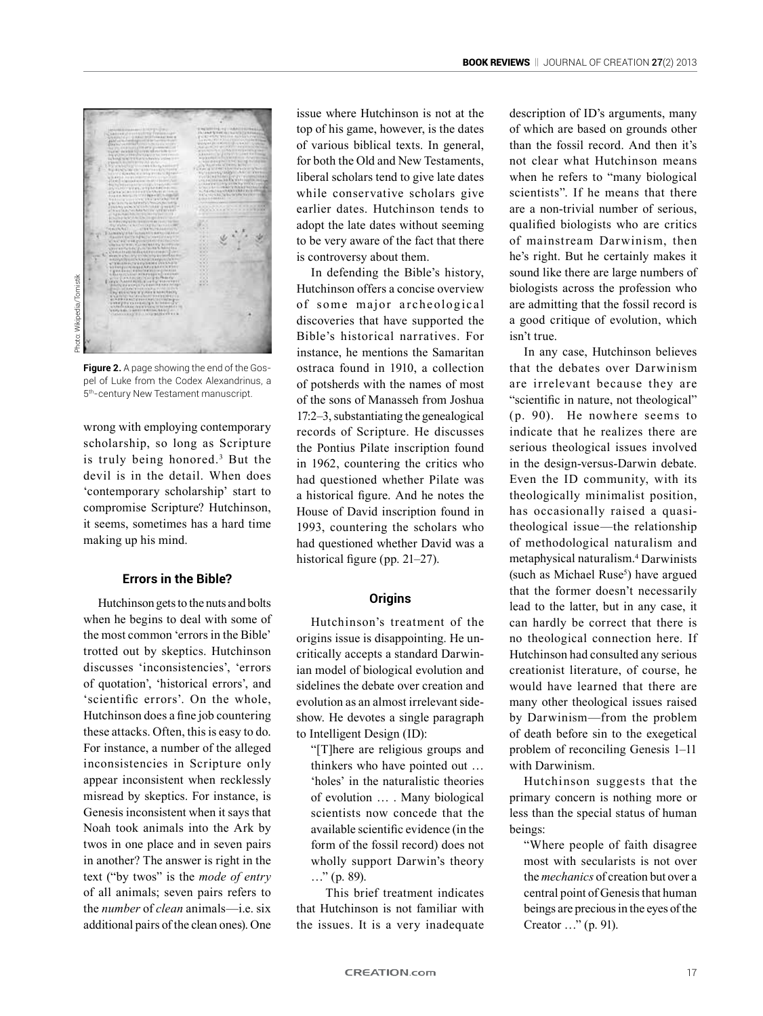

**Figure 2.** A page showing the end of the Gospel of Luke from the Codex Alexandrinus, a 5th-century New Testament manuscript.

wrong with employing contemporary scholarship, so long as Scripture is truly being honored.3 But the devil is in the detail. When does 'contemporary scholarship' start to compromise Scripture? Hutchinson, it seems, sometimes has a hard time making up his mind.

## **Errors in the Bible?**

Hutchinson gets to the nuts and bolts when he begins to deal with some of the most common 'errors in the Bible' trotted out by skeptics. Hutchinson discusses 'inconsistencies', 'errors of quotation', 'historical errors', and 'scientific errors'. On the whole, Hutchinson does a fine job countering these attacks. Often, this is easy to do. For instance, a number of the alleged inconsistencies in Scripture only appear inconsistent when recklessly misread by skeptics. For instance, is Genesis inconsistent when it says that Noah took animals into the Ark by twos in one place and in seven pairs in another? The answer is right in the text ("by twos" is the *mode of entry* of all animals; seven pairs refers to the *number* of *clean* animals—i.e. six additional pairs of the clean ones). One issue where Hutchinson is not at the top of his game, however, is the dates of various biblical texts. In general, for both the Old and New Testaments, liberal scholars tend to give late dates while conservative scholars give earlier dates. Hutchinson tends to adopt the late dates without seeming to be very aware of the fact that there is controversy about them.

In defending the Bible's history, Hutchinson offers a concise overview of some major archeological discoveries that have supported the Bible's historical narratives. For instance, he mentions the Samaritan ostraca found in 1910, a collection of potsherds with the names of most of the sons of Manasseh from Joshua 17:2–3, substantiating the genealogical records of Scripture. He discusses the Pontius Pilate inscription found in 1962, countering the critics who had questioned whether Pilate was a historical figure. And he notes the House of David inscription found in 1993, countering the scholars who had questioned whether David was a historical figure (pp. 21–27).

## **Origins**

Hutchinson's treatment of the origins issue is disappointing. He uncritically accepts a standard Darwinian model of biological evolution and sidelines the debate over creation and evolution as an almost irrelevant sideshow. He devotes a single paragraph to Intelligent Design (ID):

"[T]here are religious groups and thinkers who have pointed out … 'holes' in the naturalistic theories of evolution … . Many biological scientists now concede that the available scientific evidence (in the form of the fossil record) does not wholly support Darwin's theory  $\ldots$ " (p. 89).

This brief treatment indicates that Hutchinson is not familiar with the issues. It is a very inadequate description of ID's arguments, many of which are based on grounds other than the fossil record. And then it's not clear what Hutchinson means when he refers to "many biological scientists". If he means that there are a non-trivial number of serious, qualified biologists who are critics of mainstream Darwinism, then he's right. But he certainly makes it sound like there are large numbers of biologists across the profession who are admitting that the fossil record is a good critique of evolution, which isn't true.

In any case, Hutchinson believes that the debates over Darwinism are irrelevant because they are "scientific in nature, not theological" (p. 90). He nowhere seems to indicate that he realizes there are serious theological issues involved in the design-versus-Darwin debate. Even the ID community, with its theologically minimalist position, has occasionally raised a quasitheological issue—the relationship of methodological naturalism and metaphysical naturalism.<sup>4</sup> Darwinists (such as Michael Ruse<sup>5</sup>) have argued that the former doesn't necessarily lead to the latter, but in any case, it can hardly be correct that there is no theological connection here. If Hutchinson had consulted any serious creationist literature, of course, he would have learned that there are many other theological issues raised by Darwinism—from the problem of death before sin to the exegetical problem of reconciling Genesis 1–11 with Darwinism.

Hutchinson suggests that the primary concern is nothing more or less than the special status of human beings:

"Where people of faith disagree most with secularists is not over the *mechanics* of creation but over a central point of Genesis that human beings are precious in the eyes of the Creator …" (p. 91).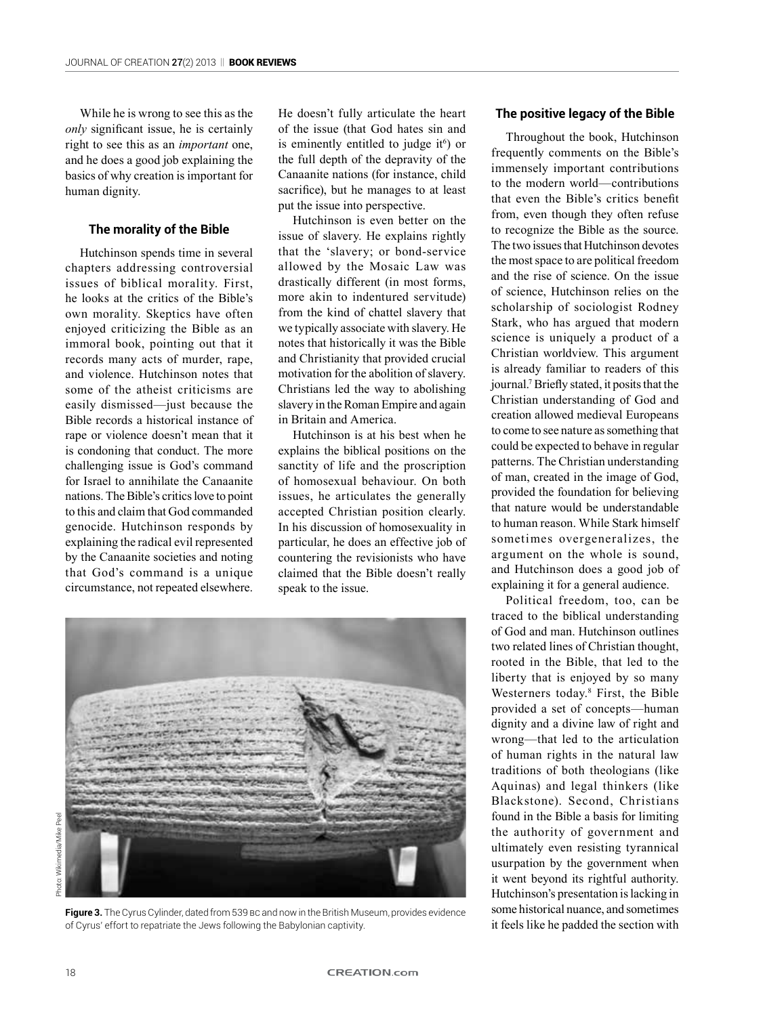While he is wrong to see this as the *only* significant issue, he is certainly right to see this as an *important* one, and he does a good job explaining the basics of why creation is important for human dignity.

## **The morality of the Bible**

Hutchinson spends time in several chapters addressing controversial issues of biblical morality. First, he looks at the critics of the Bible's own morality. Skeptics have often enjoyed criticizing the Bible as an immoral book, pointing out that it records many acts of murder, rape, and violence. Hutchinson notes that some of the atheist criticisms are easily dismissed—just because the Bible records a historical instance of rape or violence doesn't mean that it is condoning that conduct. The more challenging issue is God's command for Israel to annihilate the Canaanite nations. The Bible's critics love to point to this and claim that God commanded genocide. Hutchinson responds by explaining the radical evil represented by the Canaanite societies and noting that God's command is a unique circumstance, not repeated elsewhere.

He doesn't fully articulate the heart of the issue (that God hates sin and is eminently entitled to judge it $\epsilon$ ) or the full depth of the depravity of the Canaanite nations (for instance, child sacrifice), but he manages to at least put the issue into perspective.

Hutchinson is even better on the issue of slavery. He explains rightly that the 'slavery; or bond-service allowed by the Mosaic Law was drastically different (in most forms, more akin to indentured servitude) from the kind of chattel slavery that we typically associate with slavery. He notes that historically it was the Bible and Christianity that provided crucial motivation for the abolition of slavery. Christians led the way to abolishing slavery in the Roman Empire and again in Britain and America.

Hutchinson is at his best when he explains the biblical positions on the sanctity of life and the proscription of homosexual behaviour. On both issues, he articulates the generally accepted Christian position clearly. In his discussion of homosexuality in particular, he does an effective job of countering the revisionists who have claimed that the Bible doesn't really speak to the issue.



Figure 3. The Cyrus Cylinder, dated from 539 Bc and now in the British Museum, provides evidence of Cyrus' effort to repatriate the Jews following the Babylonian captivity.

#### **The positive legacy of the Bible**

Throughout the book, Hutchinson frequently comments on the Bible's immensely important contributions to the modern world—contributions that even the Bible's critics benefit from, even though they often refuse to recognize the Bible as the source. The two issues that Hutchinson devotes the most space to are political freedom and the rise of science. On the issue of science, Hutchinson relies on the scholarship of sociologist Rodney Stark, who has argued that modern science is uniquely a product of a Christian worldview. This argument is already familiar to readers of this journal.<sup>7</sup> Briefly stated, it posits that the Christian understanding of God and creation allowed medieval Europeans to come to see nature as something that could be expected to behave in regular patterns. The Christian understanding of man, created in the image of God, provided the foundation for believing that nature would be understandable to human reason. While Stark himself sometimes overgeneralizes, the argument on the whole is sound, and Hutchinson does a good job of explaining it for a general audience.

Political freedom, too, can be traced to the biblical understanding of God and man. Hutchinson outlines two related lines of Christian thought, rooted in the Bible, that led to the liberty that is enjoyed by so many Westerners today.<sup>8</sup> First, the Bible provided a set of concepts—human dignity and a divine law of right and wrong—that led to the articulation of human rights in the natural law traditions of both theologians (like Aquinas) and legal thinkers (like Blackstone). Second, Christians found in the Bible a basis for limiting the authority of government and ultimately even resisting tyrannical usurpation by the government when it went beyond its rightful authority. Hutchinson's presentation is lacking in some historical nuance, and sometimes it feels like he padded the section with